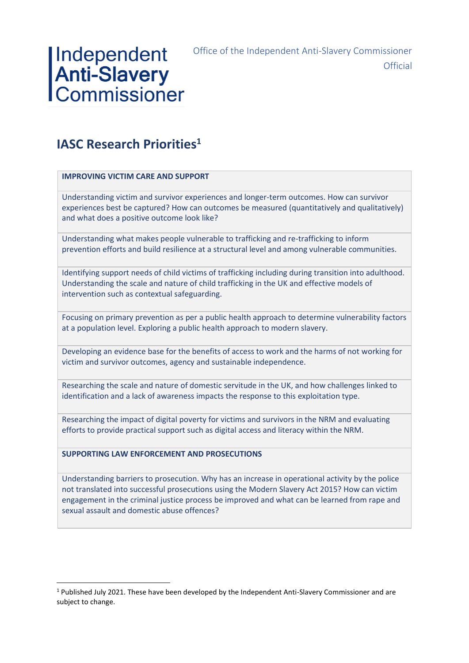### Office of the Independent Anti-Slavery Commissioner **Official**

# Independent<br> **Anti-Slavery**<br>
Commissioner

## **IASC Research Priorities<sup>1</sup>**

### **IMPROVING VICTIM CARE AND SUPPORT**

Understanding victim and survivor experiences and longer-term outcomes. How can survivor experiences best be captured? How can outcomes be measured (quantitatively and qualitatively) and what does a positive outcome look like?

Understanding what makes people vulnerable to trafficking and re-trafficking to inform prevention efforts and build resilience at a structural level and among vulnerable communities.

Identifying support needs of child victims of trafficking including during transition into adulthood. Understanding the scale and nature of child trafficking in the UK and effective models of intervention such as contextual safeguarding.

Focusing on primary prevention as per a public health approach to determine vulnerability factors at a population level. Exploring a public health approach to modern slavery.

Developing an evidence base for the benefits of access to work and the harms of not working for victim and survivor outcomes, agency and sustainable independence.

Researching the scale and nature of domestic servitude in the UK, and how challenges linked to identification and a lack of awareness impacts the response to this exploitation type.

Researching the impact of digital poverty for victims and survivors in the NRM and evaluating efforts to provide practical support such as digital access and literacy within the NRM.

### **SUPPORTING LAW ENFORCEMENT AND PROSECUTIONS**

Understanding barriers to prosecution. Why has an increase in operational activity by the police not translated into successful prosecutions using the Modern Slavery Act 2015? How can victim engagement in the criminal justice process be improved and what can be learned from rape and sexual assault and domestic abuse offences?

 $1$  Published July 2021. These have been developed by the Independent Anti-Slavery Commissioner and are subject to change.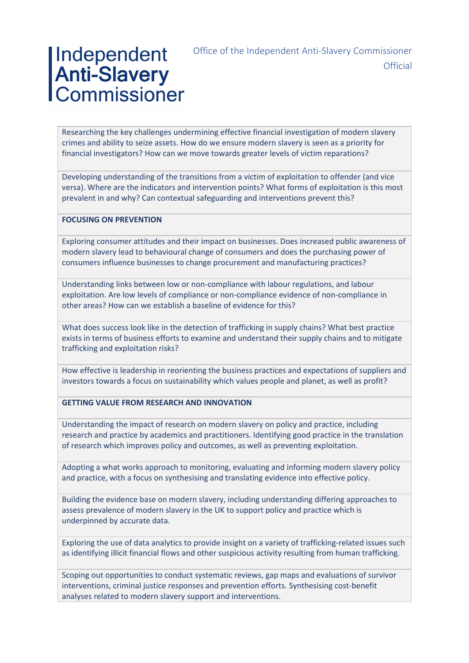# Independent<br>Anti-Slavery<br>Commissioner

Office of the Independent Anti-Slavery Commissioner **Official** 

Researching the key challenges undermining effective financial investigation of modern slavery crimes and ability to seize assets. How do we ensure modern slavery is seen as a priority for financial investigators? How can we move towards greater levels of victim reparations?

Developing understanding of the transitions from a victim of exploitation to offender (and vice versa). Where are the indicators and intervention points? What forms of exploitation is this most prevalent in and why? Can contextual safeguarding and interventions prevent this?

#### **FOCUSING ON PREVENTION**

Exploring consumer attitudes and their impact on businesses. Does increased public awareness of modern slavery lead to behavioural change of consumers and does the purchasing power of consumers influence businesses to change procurement and manufacturing practices?

Understanding links between low or non-compliance with labour regulations, and labour exploitation. Are low levels of compliance or non-compliance evidence of non-compliance in other areas? How can we establish a baseline of evidence for this?

What does success look like in the detection of trafficking in supply chains? What best practice exists in terms of business efforts to examine and understand their supply chains and to mitigate trafficking and exploitation risks?

How effective is leadership in reorienting the business practices and expectations of suppliers and investors towards a focus on sustainability which values people and planet, as well as profit?

#### **GETTING VALUE FROM RESEARCH AND INNOVATION**

Understanding the impact of research on modern slavery on policy and practice, including research and practice by academics and practitioners. Identifying good practice in the translation of research which improves policy and outcomes, as well as preventing exploitation.

Adopting a what works approach to monitoring, evaluating and informing modern slavery policy and practice, with a focus on synthesising and translating evidence into effective policy.

Building the evidence base on modern slavery, including understanding differing approaches to assess prevalence of modern slavery in the UK to support policy and practice which is underpinned by accurate data.

Exploring the use of data analytics to provide insight on a variety of trafficking-related issues such as identifying illicit financial flows and other suspicious activity resulting from human trafficking.

Scoping out opportunities to conduct systematic reviews, gap maps and evaluations of survivor interventions, criminal justice responses and prevention efforts. Synthesising cost-benefit analyses related to modern slavery support and interventions.